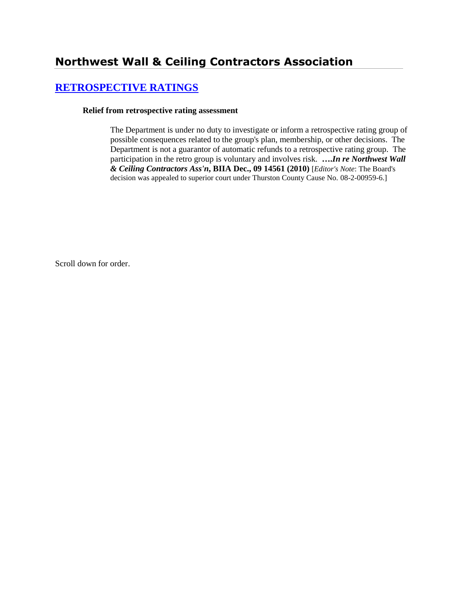# **Northwest Wall & Ceiling Contractors Association**

## **[RETROSPECTIVE RATINGS](http://www.biia.wa.gov/SDSubjectIndex.html#RETROSPECTIVE_RATINGS)**

#### **Relief from retrospective rating assessment**

The Department is under no duty to investigate or inform a retrospective rating group of possible consequences related to the group's plan, membership, or other decisions. The Department is not a guarantor of automatic refunds to a retrospective rating group. The participation in the retro group is voluntary and involves risk. **….***In re Northwest Wall & Ceiling Contractors Ass'n***, BIIA Dec., 09 14561 (2010)** [*Editor's Note*: The Board's decision was appealed to superior court under Thurston County Cause No. 08-2-00959-6.]

Scroll down for order.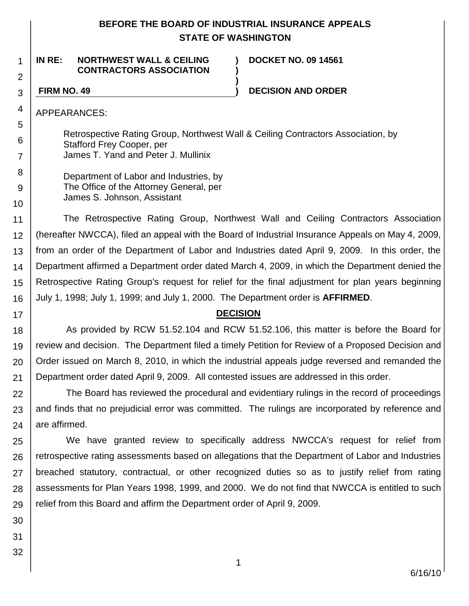## **BEFORE THE BOARD OF INDUSTRIAL INSURANCE APPEALS STATE OF WASHINGTON**

**) )**

**)**

**IN RE: NORTHWEST WALL & CEILING CONTRACTORS ASSOCIATION**

**DOCKET NO. 09 14561**

1

2

3

4

5 6

7

8 9

10

17

**FIRM NO. 49 ) DECISION AND ORDER**

APPEARANCES:

Retrospective Rating Group, Northwest Wall & Ceiling Contractors Association, by Stafford Frey Cooper, per James T. Yand and Peter J. Mullinix

Department of Labor and Industries, by The Office of the Attorney General, per James S. Johnson, Assistant

11 12 13 14 15 16 The Retrospective Rating Group, Northwest Wall and Ceiling Contractors Association (hereafter NWCCA), filed an appeal with the Board of Industrial Insurance Appeals on May 4, 2009, from an order of the Department of Labor and Industries dated April 9, 2009. In this order, the Department affirmed a Department order dated March 4, 2009, in which the Department denied the Retrospective Rating Group's request for relief for the final adjustment for plan years beginning July 1, 1998; July 1, 1999; and July 1, 2000. The Department order is **AFFIRMED**.

## **DECISION**

18 19 20 21 As provided by RCW 51.52.104 and RCW 51.52.106, this matter is before the Board for review and decision. The Department filed a timely Petition for Review of a Proposed Decision and Order issued on March 8, 2010, in which the industrial appeals judge reversed and remanded the Department order dated April 9, 2009. All contested issues are addressed in this order.

22 23 24 The Board has reviewed the procedural and evidentiary rulings in the record of proceedings and finds that no prejudicial error was committed. The rulings are incorporated by reference and are affirmed.

25 26 27 28 29 We have granted review to specifically address NWCCA's request for relief from retrospective rating assessments based on allegations that the Department of Labor and Industries breached statutory, contractual, or other recognized duties so as to justify relief from rating assessments for Plan Years 1998, 1999, and 2000. We do not find that NWCCA is entitled to such relief from this Board and affirm the Department order of April 9, 2009.

30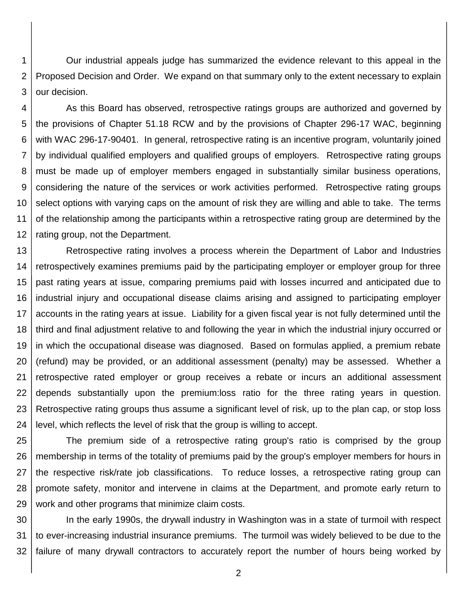1 2 3 Our industrial appeals judge has summarized the evidence relevant to this appeal in the Proposed Decision and Order. We expand on that summary only to the extent necessary to explain our decision.

4 5 6 7 8 9 10 11 12 As this Board has observed, retrospective ratings groups are authorized and governed by the provisions of Chapter 51.18 RCW and by the provisions of Chapter 296-17 WAC, beginning with WAC 296-17-90401. In general, retrospective rating is an incentive program, voluntarily joined by individual qualified employers and qualified groups of employers. Retrospective rating groups must be made up of employer members engaged in substantially similar business operations, considering the nature of the services or work activities performed. Retrospective rating groups select options with varying caps on the amount of risk they are willing and able to take. The terms of the relationship among the participants within a retrospective rating group are determined by the rating group, not the Department.

13 14 15 16 17 18 19 20 21 22 23 24 Retrospective rating involves a process wherein the Department of Labor and Industries retrospectively examines premiums paid by the participating employer or employer group for three past rating years at issue, comparing premiums paid with losses incurred and anticipated due to industrial injury and occupational disease claims arising and assigned to participating employer accounts in the rating years at issue. Liability for a given fiscal year is not fully determined until the third and final adjustment relative to and following the year in which the industrial injury occurred or in which the occupational disease was diagnosed. Based on formulas applied, a premium rebate (refund) may be provided, or an additional assessment (penalty) may be assessed. Whether a retrospective rated employer or group receives a rebate or incurs an additional assessment depends substantially upon the premium:loss ratio for the three rating years in question. Retrospective rating groups thus assume a significant level of risk, up to the plan cap, or stop loss level, which reflects the level of risk that the group is willing to accept.

25 26 27 28 29 The premium side of a retrospective rating group's ratio is comprised by the group membership in terms of the totality of premiums paid by the group's employer members for hours in the respective risk/rate job classifications. To reduce losses, a retrospective rating group can promote safety, monitor and intervene in claims at the Department, and promote early return to work and other programs that minimize claim costs.

30 31 32 In the early 1990s, the drywall industry in Washington was in a state of turmoil with respect to ever-increasing industrial insurance premiums. The turmoil was widely believed to be due to the failure of many drywall contractors to accurately report the number of hours being worked by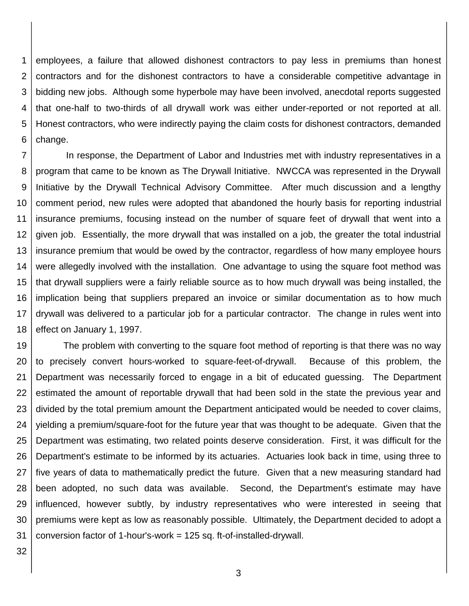1 2 3 4 5 6 employees, a failure that allowed dishonest contractors to pay less in premiums than honest contractors and for the dishonest contractors to have a considerable competitive advantage in bidding new jobs. Although some hyperbole may have been involved, anecdotal reports suggested that one-half to two-thirds of all drywall work was either under-reported or not reported at all. Honest contractors, who were indirectly paying the claim costs for dishonest contractors, demanded change.

7 8 9 10 11 12 13 14 15 16 17 18 In response, the Department of Labor and Industries met with industry representatives in a program that came to be known as The Drywall Initiative. NWCCA was represented in the Drywall Initiative by the Drywall Technical Advisory Committee. After much discussion and a lengthy comment period, new rules were adopted that abandoned the hourly basis for reporting industrial insurance premiums, focusing instead on the number of square feet of drywall that went into a given job. Essentially, the more drywall that was installed on a job, the greater the total industrial insurance premium that would be owed by the contractor, regardless of how many employee hours were allegedly involved with the installation. One advantage to using the square foot method was that drywall suppliers were a fairly reliable source as to how much drywall was being installed, the implication being that suppliers prepared an invoice or similar documentation as to how much drywall was delivered to a particular job for a particular contractor. The change in rules went into effect on January 1, 1997.

19 20 21 22 23 24 25 26 27 28 29 30 31 The problem with converting to the square foot method of reporting is that there was no way to precisely convert hours-worked to square-feet-of-drywall. Because of this problem, the Department was necessarily forced to engage in a bit of educated guessing. The Department estimated the amount of reportable drywall that had been sold in the state the previous year and divided by the total premium amount the Department anticipated would be needed to cover claims, yielding a premium/square-foot for the future year that was thought to be adequate. Given that the Department was estimating, two related points deserve consideration. First, it was difficult for the Department's estimate to be informed by its actuaries. Actuaries look back in time, using three to five years of data to mathematically predict the future. Given that a new measuring standard had been adopted, no such data was available. Second, the Department's estimate may have influenced, however subtly, by industry representatives who were interested in seeing that premiums were kept as low as reasonably possible. Ultimately, the Department decided to adopt a conversion factor of 1-hour's-work = 125 sq. ft-of-installed-drywall.

32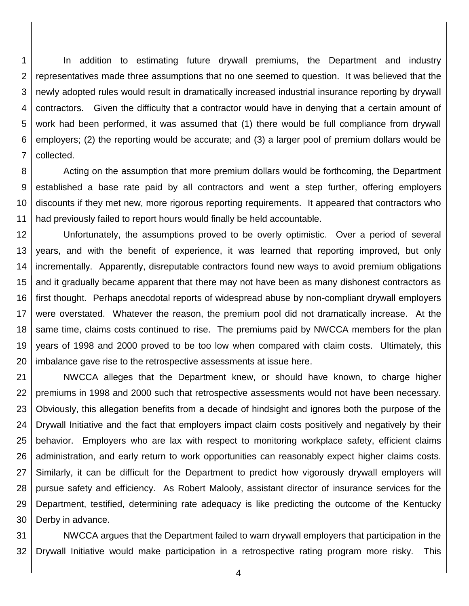1 2 3 4 5 6 7 In addition to estimating future drywall premiums, the Department and industry representatives made three assumptions that no one seemed to question. It was believed that the newly adopted rules would result in dramatically increased industrial insurance reporting by drywall contractors. Given the difficulty that a contractor would have in denying that a certain amount of work had been performed, it was assumed that (1) there would be full compliance from drywall employers; (2) the reporting would be accurate; and (3) a larger pool of premium dollars would be collected.

8 9 10 11 Acting on the assumption that more premium dollars would be forthcoming, the Department established a base rate paid by all contractors and went a step further, offering employers discounts if they met new, more rigorous reporting requirements. It appeared that contractors who had previously failed to report hours would finally be held accountable.

12 13 14 15 16 17 18 19 20 Unfortunately, the assumptions proved to be overly optimistic. Over a period of several years, and with the benefit of experience, it was learned that reporting improved, but only incrementally. Apparently, disreputable contractors found new ways to avoid premium obligations and it gradually became apparent that there may not have been as many dishonest contractors as first thought. Perhaps anecdotal reports of widespread abuse by non-compliant drywall employers were overstated. Whatever the reason, the premium pool did not dramatically increase. At the same time, claims costs continued to rise. The premiums paid by NWCCA members for the plan years of 1998 and 2000 proved to be too low when compared with claim costs. Ultimately, this imbalance gave rise to the retrospective assessments at issue here.

21 22 23 24 25 26 27 28 29 30 NWCCA alleges that the Department knew, or should have known, to charge higher premiums in 1998 and 2000 such that retrospective assessments would not have been necessary. Obviously, this allegation benefits from a decade of hindsight and ignores both the purpose of the Drywall Initiative and the fact that employers impact claim costs positively and negatively by their behavior. Employers who are lax with respect to monitoring workplace safety, efficient claims administration, and early return to work opportunities can reasonably expect higher claims costs. Similarly, it can be difficult for the Department to predict how vigorously drywall employers will pursue safety and efficiency. As Robert Malooly, assistant director of insurance services for the Department, testified, determining rate adequacy is like predicting the outcome of the Kentucky Derby in advance.

31 32 NWCCA argues that the Department failed to warn drywall employers that participation in the Drywall Initiative would make participation in a retrospective rating program more risky. This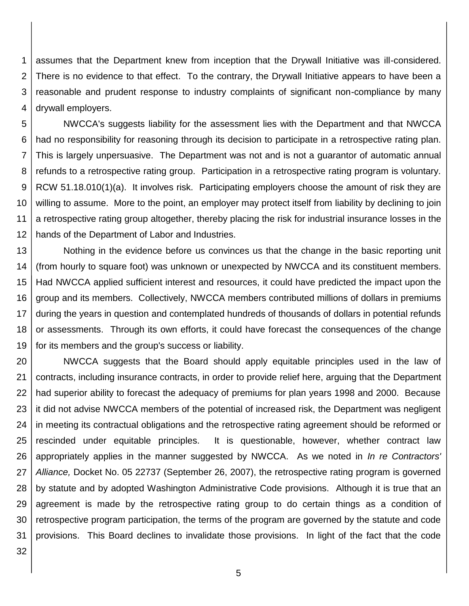1 2 3 4 assumes that the Department knew from inception that the Drywall Initiative was ill-considered. There is no evidence to that effect. To the contrary, the Drywall Initiative appears to have been a reasonable and prudent response to industry complaints of significant non-compliance by many drywall employers.

5 6 7 8 9 10 11 12 NWCCA's suggests liability for the assessment lies with the Department and that NWCCA had no responsibility for reasoning through its decision to participate in a retrospective rating plan. This is largely unpersuasive. The Department was not and is not a guarantor of automatic annual refunds to a retrospective rating group. Participation in a retrospective rating program is voluntary. RCW 51.18.010(1)(a). It involves risk. Participating employers choose the amount of risk they are willing to assume. More to the point, an employer may protect itself from liability by declining to join a retrospective rating group altogether, thereby placing the risk for industrial insurance losses in the hands of the Department of Labor and Industries.

13 14 15 16 17 18 19 Nothing in the evidence before us convinces us that the change in the basic reporting unit (from hourly to square foot) was unknown or unexpected by NWCCA and its constituent members. Had NWCCA applied sufficient interest and resources, it could have predicted the impact upon the group and its members. Collectively, NWCCA members contributed millions of dollars in premiums during the years in question and contemplated hundreds of thousands of dollars in potential refunds or assessments. Through its own efforts, it could have forecast the consequences of the change for its members and the group's success or liability.

20 21 22 23 24 25 26 27 28 29 30 31 NWCCA suggests that the Board should apply equitable principles used in the law of contracts, including insurance contracts, in order to provide relief here, arguing that the Department had superior ability to forecast the adequacy of premiums for plan years 1998 and 2000. Because it did not advise NWCCA members of the potential of increased risk, the Department was negligent in meeting its contractual obligations and the retrospective rating agreement should be reformed or rescinded under equitable principles. It is questionable, however, whether contract law appropriately applies in the manner suggested by NWCCA. As we noted in *In re Contractors' Alliance,* Docket No. 05 22737 (September 26, 2007), the retrospective rating program is governed by statute and by adopted Washington Administrative Code provisions. Although it is true that an agreement is made by the retrospective rating group to do certain things as a condition of retrospective program participation, the terms of the program are governed by the statute and code provisions. This Board declines to invalidate those provisions. In light of the fact that the code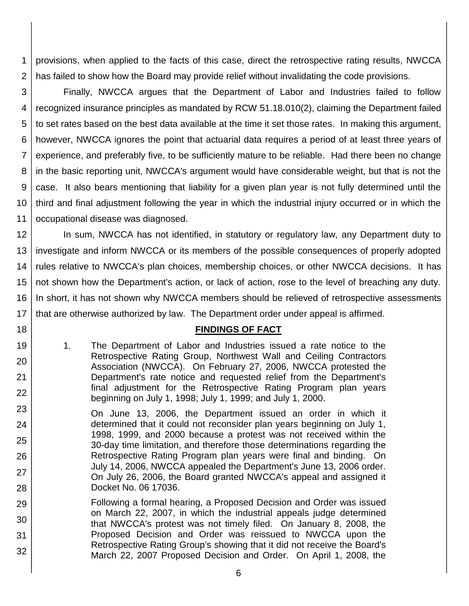1 2 provisions, when applied to the facts of this case, direct the retrospective rating results, NWCCA has failed to show how the Board may provide relief without invalidating the code provisions.

3 4 5 6 7 8 9 10 11 Finally, NWCCA argues that the Department of Labor and Industries failed to follow recognized insurance principles as mandated by RCW 51.18.010(2), claiming the Department failed to set rates based on the best data available at the time it set those rates. In making this argument, however, NWCCA ignores the point that actuarial data requires a period of at least three years of experience, and preferably five, to be sufficiently mature to be reliable. Had there been no change in the basic reporting unit, NWCCA's argument would have considerable weight, but that is not the case. It also bears mentioning that liability for a given plan year is not fully determined until the third and final adjustment following the year in which the industrial injury occurred or in which the occupational disease was diagnosed.

12 13 14 15 16 17 In sum, NWCCA has not identified, in statutory or regulatory law, any Department duty to investigate and inform NWCCA or its members of the possible consequences of properly adopted rules relative to NWCCA's plan choices, membership choices, or other NWCCA decisions. It has not shown how the Department's action, or lack of action, rose to the level of breaching any duty. In short, it has not shown why NWCCA members should be relieved of retrospective assessments that are otherwise authorized by law. The Department order under appeal is affirmed.

#### **FINDINGS OF FACT**

1. The Department of Labor and Industries issued a rate notice to the Retrospective Rating Group, Northwest Wall and Ceiling Contractors Association (NWCCA). On February 27, 2006, NWCCA protested the Department's rate notice and requested relief from the Department's final adjustment for the Retrospective Rating Program plan years beginning on July 1, 1998; July 1, 1999; and July 1, 2000.

18

19

20

21

- 23 24 25 26 27 28 On June 13, 2006, the Department issued an order in which it determined that it could not reconsider plan years beginning on July 1, 1998, 1999, and 2000 because a protest was not received within the 30-day time limitation, and therefore those determinations regarding the Retrospective Rating Program plan years were final and binding. On July 14, 2006, NWCCA appealed the Department's June 13, 2006 order. On July 26, 2006, the Board granted NWCCA's appeal and assigned it Docket No. 06 17036.
- 29 30 31 32 Following a formal hearing, a Proposed Decision and Order was issued on March 22, 2007, in which the industrial appeals judge determined that NWCCA's protest was not timely filed. On January 8, 2008, the Proposed Decision and Order was reissued to NWCCA upon the Retrospective Rating Group's showing that it did not receive the Board's March 22, 2007 Proposed Decision and Order. On April 1, 2008, the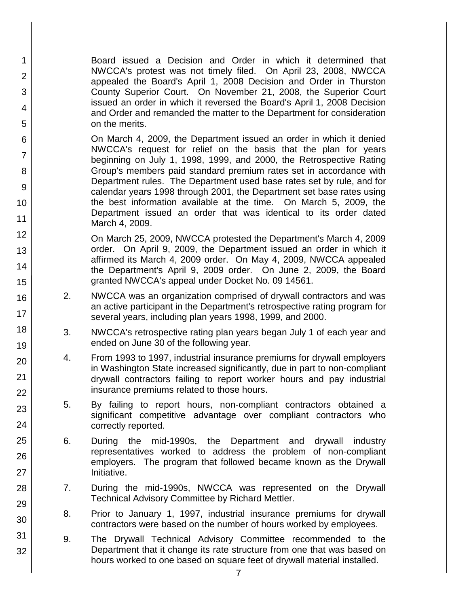Board issued a Decision and Order in which it determined that NWCCA's protest was not timely filed. On April 23, 2008, NWCCA appealed the Board's April 1, 2008 Decision and Order in Thurston County Superior Court. On November 21, 2008, the Superior Court issued an order in which it reversed the Board's April 1, 2008 Decision and Order and remanded the matter to the Department for consideration on the merits.

1

2

3

4

5

6

7

8

9

10

11

12

13

14

15

16

17

18

19

20

21 22

23

24

25

26

27

28

29

30

31

32

On March 4, 2009, the Department issued an order in which it denied NWCCA's request for relief on the basis that the plan for years beginning on July 1, 1998, 1999, and 2000, the Retrospective Rating Group's members paid standard premium rates set in accordance with Department rules. The Department used base rates set by rule, and for calendar years 1998 through 2001, the Department set base rates using the best information available at the time. On March 5, 2009, the Department issued an order that was identical to its order dated March 4, 2009.

On March 25, 2009, NWCCA protested the Department's March 4, 2009 order. On April 9, 2009, the Department issued an order in which it affirmed its March 4, 2009 order. On May 4, 2009, NWCCA appealed the Department's April 9, 2009 order. On June 2, 2009, the Board granted NWCCA's appeal under Docket No. 09 14561.

- 2. NWCCA was an organization comprised of drywall contractors and was an active participant in the Department's retrospective rating program for several years, including plan years 1998, 1999, and 2000.
- 3. NWCCA's retrospective rating plan years began July 1 of each year and ended on June 30 of the following year.
- 4. From 1993 to 1997, industrial insurance premiums for drywall employers in Washington State increased significantly, due in part to non-compliant drywall contractors failing to report worker hours and pay industrial insurance premiums related to those hours.
- 5. By failing to report hours, non-compliant contractors obtained a significant competitive advantage over compliant contractors who correctly reported.
- 6. During the mid-1990s, the Department and drywall industry representatives worked to address the problem of non-compliant employers. The program that followed became known as the Drywall Initiative.
- 7. During the mid-1990s, NWCCA was represented on the Drywall Technical Advisory Committee by Richard Mettler.
- 8. Prior to January 1, 1997, industrial insurance premiums for drywall contractors were based on the number of hours worked by employees.
- 9. The Drywall Technical Advisory Committee recommended to the Department that it change its rate structure from one that was based on hours worked to one based on square feet of drywall material installed.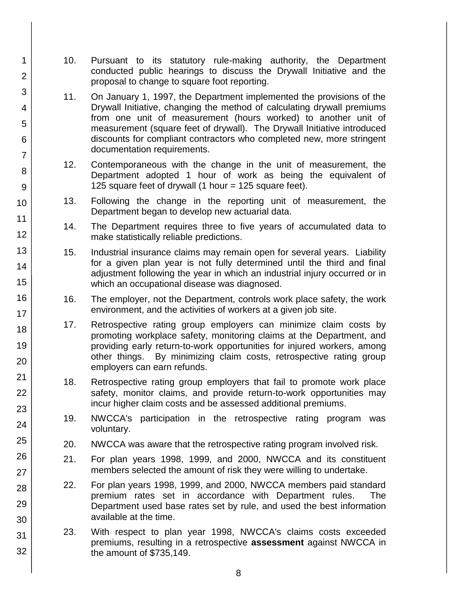10. Pursuant to its statutory rule-making authority, the Department conducted public hearings to discuss the Drywall Initiative and the proposal to change to square foot reporting.

1

2

3

4

5

6

7

8

9

10

11

12

13

14

15

16

17 18

19

20

21

22

23

24

25

26

27

28

29

30

31

- 11. On January 1, 1997, the Department implemented the provisions of the Drywall Initiative, changing the method of calculating drywall premiums from one unit of measurement (hours worked) to another unit of measurement (square feet of drywall). The Drywall Initiative introduced discounts for compliant contractors who completed new, more stringent documentation requirements.
- 12. Contemporaneous with the change in the unit of measurement, the Department adopted 1 hour of work as being the equivalent of 125 square feet of drywall (1 hour = 125 square feet).
- 13. Following the change in the reporting unit of measurement, the Department began to develop new actuarial data.
- 14. The Department requires three to five years of accumulated data to make statistically reliable predictions.
- 15. Industrial insurance claims may remain open for several years. Liability for a given plan year is not fully determined until the third and final adjustment following the year in which an industrial injury occurred or in which an occupational disease was diagnosed.
- 16. The employer, not the Department, controls work place safety, the work environment, and the activities of workers at a given job site.
- 17. Retrospective rating group employers can minimize claim costs by promoting workplace safety, monitoring claims at the Department, and providing early return-to-work opportunities for injured workers, among other things. By minimizing claim costs, retrospective rating group employers can earn refunds.
- 18. Retrospective rating group employers that fail to promote work place safety, monitor claims, and provide return-to-work opportunities may incur higher claim costs and be assessed additional premiums.
- 19. NWCCA's participation in the retrospective rating program was voluntary.
- 20. NWCCA was aware that the retrospective rating program involved risk.
- 21. For plan years 1998, 1999, and 2000, NWCCA and its constituent members selected the amount of risk they were willing to undertake.
- 22. For plan years 1998, 1999, and 2000, NWCCA members paid standard premium rates set in accordance with Department rules. The Department used base rates set by rule, and used the best information available at the time.
- 23. With respect to plan year 1998, NWCCA's claims costs exceeded premiums, resulting in a retrospective **assessment** against NWCCA in the amount of \$735,149.